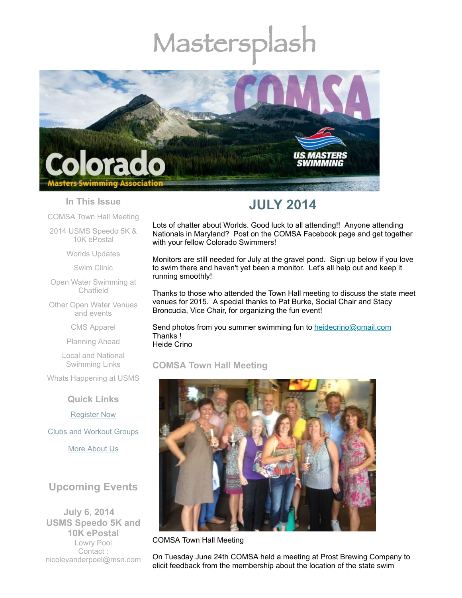# Mastersplash



### **In This Issue**

[COMSA](#page-0-0) Town Hall Meeting

2014 USMS [Speedo](#page-2-0) 5K & 10K ePostal

Worlds [Updates](#page-3-0)

Swim [Clinic](#page-3-1)

Open Water [Swimming](#page-4-0) at Chatfield

Other Open Water [Venues](#page-4-1) and events

CMS [Apparel](#page-4-2)

[Planning](#page-5-0) Ahead

Local and National [Swimming](#page-5-1) Links

Whats [Happening](#page-5-2) at USMS

**Quick Links**

[Register](http://comsa.org/joining/index.html) Now

Clubs and [Workout](http://comsa.org/clubs/index.html) Groups

More [About](http://comsa.org/) Us

# **Upcoming Events**

**July 6, 2014 USMS Speedo 5K and 10K ePostal** Lowry Pool Contact : [nicolevanderpoel@msn.com](mailto:nicolevanderpoel@msn.com)

# **JULY 2014**

Lots of chatter about Worlds. Good luck to all attending!! Anyone attending Nationals in Maryland? Post on the COMSA Facebook page and get together with your fellow Colorado Swimmers!

Monitors are still needed for July at the gravel pond. Sign up below if you love to swim there and haven't yet been a monitor. Let's all help out and keep it running smoothly!

Thanks to those who attended the Town Hall meeting to discuss the state meet venues for 2015. A special thanks to Pat Burke, Social Chair and Stacy Broncucia, Vice Chair, for organizing the fun event!

Send photos from you summer swimming fun to [heidecrino@gmail.com](mailto:heidecrino@gamil.com) Thanks ! Heide Crino

# <span id="page-0-0"></span>**COMSA Town Hall Meeting**



COMSA Town Hall Meeting

On Tuesday June 24th COMSA held a meeting at Prost Brewing Company to elicit feedback from the membership about the location of the state swim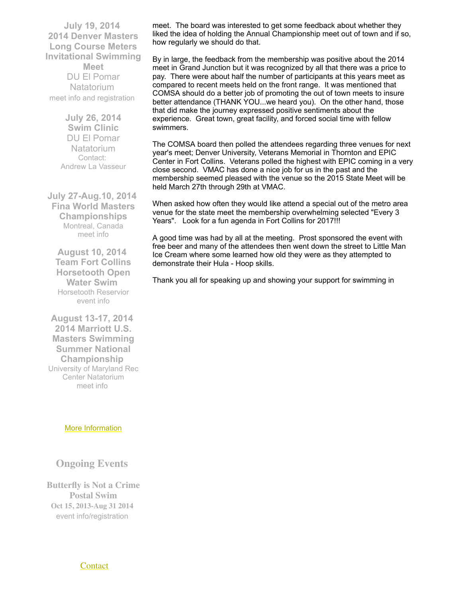**July 19, 2014 2014 Denver Masters Long Course Meters Invitational Swimming Meet** DU El Pomar **Natatorium** meet info and [registration](https://www.clubassistant.com/club/meet_information.cfm?c=1279&smid=5817)

> **July 26, 2014 Swim Clinic** DU El Pomar **Natatorium** Contact: Andrew La [Vasseur](mailto:swimmin4fun@msn.com)

**July 27-Aug.10, 2014 Fina World Masters Championships** Montreal, Canada [meet](http://finamasters2014.org/home/) info

**August 10, 2014 Team Fort Collins Horsetooth Open Water Swim** Horsetooth Reservior [event](http://www.horsetoothswim.com/) info

**August 13-17, 2014 2014 Marriott U.S. Masters Swimming Summer National Championship** University of Maryland Rec Center Natatorium [meet](http://www.usms.org/comp/lcnats14/) info

#### More [Information](http://www.comsa.org/)

# **Ongoing Events**

**Butterfly is Not a Crime Postal Swim Oct 15, 2013-Aug 31 2014** event [info/registration](http://swimflyfast.com/)

meet. The board was interested to get some feedback about whether they liked the idea of holding the Annual Championship meet out of town and if so, how regularly we should do that.

By in large, the feedback from the membership was positive about the 2014 meet in Grand Junction but it was recognized by all that there was a price to pay. There were about half the number of participants at this years meet as compared to recent meets held on the front range. It was mentioned that COMSA should do a better job of promoting the out of town meets to insure better attendance (THANK YOU...we heard you). On the other hand, those that did make the journey expressed positive sentiments about the experience. Great town, great facility, and forced social time with fellow swimmers.

The COMSA board then polled the attendees regarding three venues for next year's meet; Denver University, Veterans Memorial in Thornton and EPIC Center in Fort Collins. Veterans polled the highest with EPIC coming in a very close second. VMAC has done a nice job for us in the past and the membership seemed pleased with the venue so the 2015 State Meet will be held March 27th through 29th at VMAC.

When asked how often they would like attend a special out of the metro area venue for the state meet the membership overwhelming selected "Every 3 Years". Look for a fun agenda in Fort Collins for 2017!!!

A good time was had by all at the meeting. Prost sponsored the event with free beer and many of the attendees then went down the street to Little Man Ice Cream where some learned how old they were as they attempted to demonstrate their Hula - Hoop skills.

Thank you all for speaking up and showing your support for swimming in

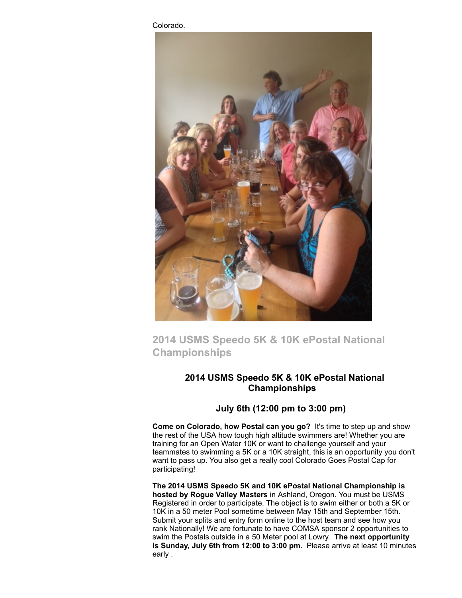Colorado.



# <span id="page-2-0"></span>**2014 USMS Speedo 5K & 10K ePostal National Championships**

# **2014 USMS Speedo 5K & 10K ePostal National Championships**

# **July 6th (12:00 pm to 3:00 pm)**

**Come on Colorado, how Postal can you go?** It's time to step up and show the rest of the USA how tough high altitude swimmers are! Whether you are training for an Open Water 10K or want to challenge yourself and your teammates to swimming a 5K or a 10K straight, this is an opportunity you don't want to pass up. You also get a really cool Colorado Goes Postal Cap for participating!

**The 2014 USMS Speedo 5K and 10K ePostal National Championship is hosted by Rogue Valley Masters** in Ashland, Oregon. You must be USMS Registered in order to participate. The object is to swim either or both a 5K or 10K in a 50 meter Pool sometime between May 15th and September 15th. Submit your splits and entry form online to the host team and see how you rank Nationally! We are fortunate to have COMSA sponsor 2 opportunities to swim the Postals outside in a 50 Meter pool at Lowry. **The next opportunity is Sunday, July 6th from 12:00 to 3:00 pm**. Please arrive at least 10 minutes early .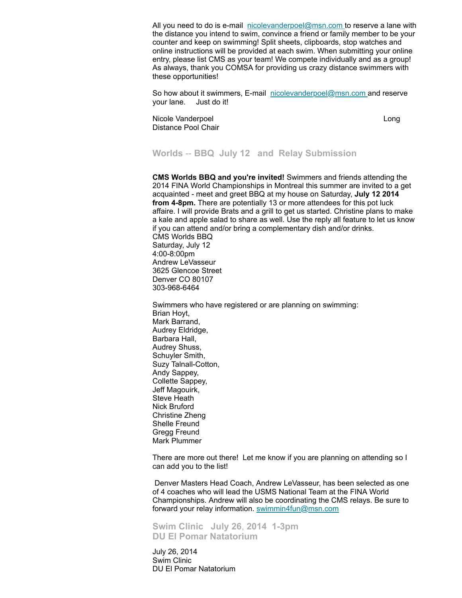All you need to do is e-mail  $picolevanderpoel@mmn.com$  to reserve a lane with the distance you intend to swim, convince a friend or family member to be your counter and keep on swimming! Split sheets, clipboards, stop watches and online instructions will be provided at each swim. When submitting your online entry, please list CMS as your team! We compete individually and as a group! As always, thank you COMSA for providing us crazy distance swimmers with these opportunities!

So how about it swimmers, E-mail [nicolevanderpoel@msn.com](mailto:nicolevanderpoel@msn.com) and reserve your lane. Just do it!

Nicole Vanderpoel Long Distance Pool Chair

#### <span id="page-3-0"></span>**Worlds** -- **BBQ July 12 and Relay Submission**

**CMS Worlds BBQ and you're invited!** Swimmers and friends attending the 2014 FINA World Championships in Montreal this summer are invited to a get acquainted - meet and greet BBQ at my house on Saturday, **July 12 2014 from 4-8pm.** There are potentially 13 or more attendees for this pot luck affaire. I will provide Brats and a grill to get us started. Christine plans to make a kale and apple salad to share as well. Use the reply all feature to let us know if you can attend and/or bring a complementary dish and/or drinks. CMS Worlds BBQ Saturday, July 12 4:00-8:00pm Andrew LeVasseur 3625 Glencoe Street Denver CO 80107 303-968-6464

Swimmers who have registered or are planning on swimming: Brian Hoyt, Mark Barrand, Audrey Eldridge, Barbara Hall, Audrey Shuss, Schuyler Smith, Suzy Talnall-Cotton, Andy Sappey, Collette Sappey, Jeff Magouirk, Steve Heath Nick Bruford Christine Zheng Shelle Freund Gregg Freund Mark Plummer

There are more out there! Let me know if you are planning on attending so I can add you to the list!

Denver Masters Head Coach, Andrew LeVasseur, has been selected as one of 4 coaches who will lead the USMS National Team at the FINA World Championships. Andrew will also be coordinating the CMS relays. Be sure to forward your relay information. [swimmin4fun@msn.com](mailto:swimmin4fun@msn.com)

<span id="page-3-1"></span>**Swim Clinic July 26**, **2014 1-3pm DU El Pomar Natatorium**

July 26, 2014 Swim Clinic DU El Pomar Natatorium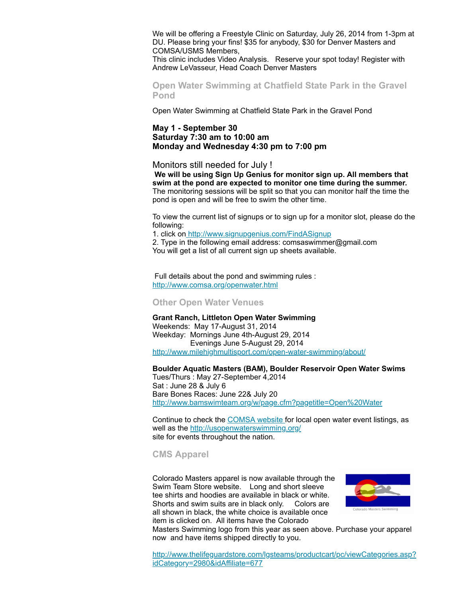We will be offering a Freestyle Clinic on Saturday, July 26, 2014 from 1-3pm at DU. Please bring your fins! \$35 for anybody, \$30 for Denver Masters and COMSA/USMS Members,

This clinic includes Video Analysis. Reserve your spot today! Register with Andrew LeVasseur, Head Coach Denver Masters

<span id="page-4-0"></span>**Open Water Swimming at Chatfield State Park in the Gravel Pond**

Open Water Swimming at Chatfield State Park in the Gravel Pond

#### **May 1 - September 30 Saturday 7:30 am to 10:00 am Monday and Wednesday 4:30 pm to 7:00 pm**

Monitors still needed for July !

**We will be using Sign Up Genius for monitor sign up. All members that swim at the pond are expected to monitor one time during the summer.** The monitoring sessions will be split so that you can monitor half the time the pond is open and will be free to swim the other time.

To view the current list of signups or to sign up for a monitor slot, please do the following:

1. click on <http://www.signupgenius.com/FindASignup>

2. Type in the following email address: comsaswimmer@gmail.com You will get a list of all current sign up sheets available.

Full details about the pond and swimming rules : <http://www.comsa.org/openwater.html>

<span id="page-4-1"></span>**Other Open Water Venues**

**Grant Ranch, Littleton Open Water Swimming** Weekends: May 17-August 31, 2014 Weekday: Mornings June 4th-August 29, 2014 Evenings June 5-August 29, 2014 <http://www.milehighmultisport.com/open-water-swimming/about/>

**Boulder Aquatic Masters (BAM), Boulder Reservoir Open Water Swims**

Tues/Thurs : May 27-September 4,2014 Sat : June 28 & July 6 Bare Bones Races: June 22& July 20 <http://www.bamswimteam.org/w/page.cfm?pagetitle=Open%20Water>

Continue to check the [COMSA](http://www.comsa.org/openwater.html) website for local open water event listings, as well as the [http://usopenwaterswimming.org/](http://usopenwaterswimming.org/%20) site for events throughout the nation.

#### <span id="page-4-2"></span>**CMS Apparel**

Colorado Masters apparel is now available through the Swim Team Store website. Long and short sleeve tee shirts and hoodies are available in black or white. Shorts and swim suits are in black only. Colors are all shown in black, the white choice is available once item is clicked on. All items have the Colorado



Masters Swimming logo from this year as seen above. Purchase your apparel now and have items shipped directly to you.

[http://www.thelifeguardstore.com/lgsteams/productcart/pc/viewCategories.asp?](http://www.thelifeguardstore.com/lgsteams/productcart/pc/viewCategories.asp?idCategory=2980&idAffiliate=677) idCategory=2980&idAffiliate=677